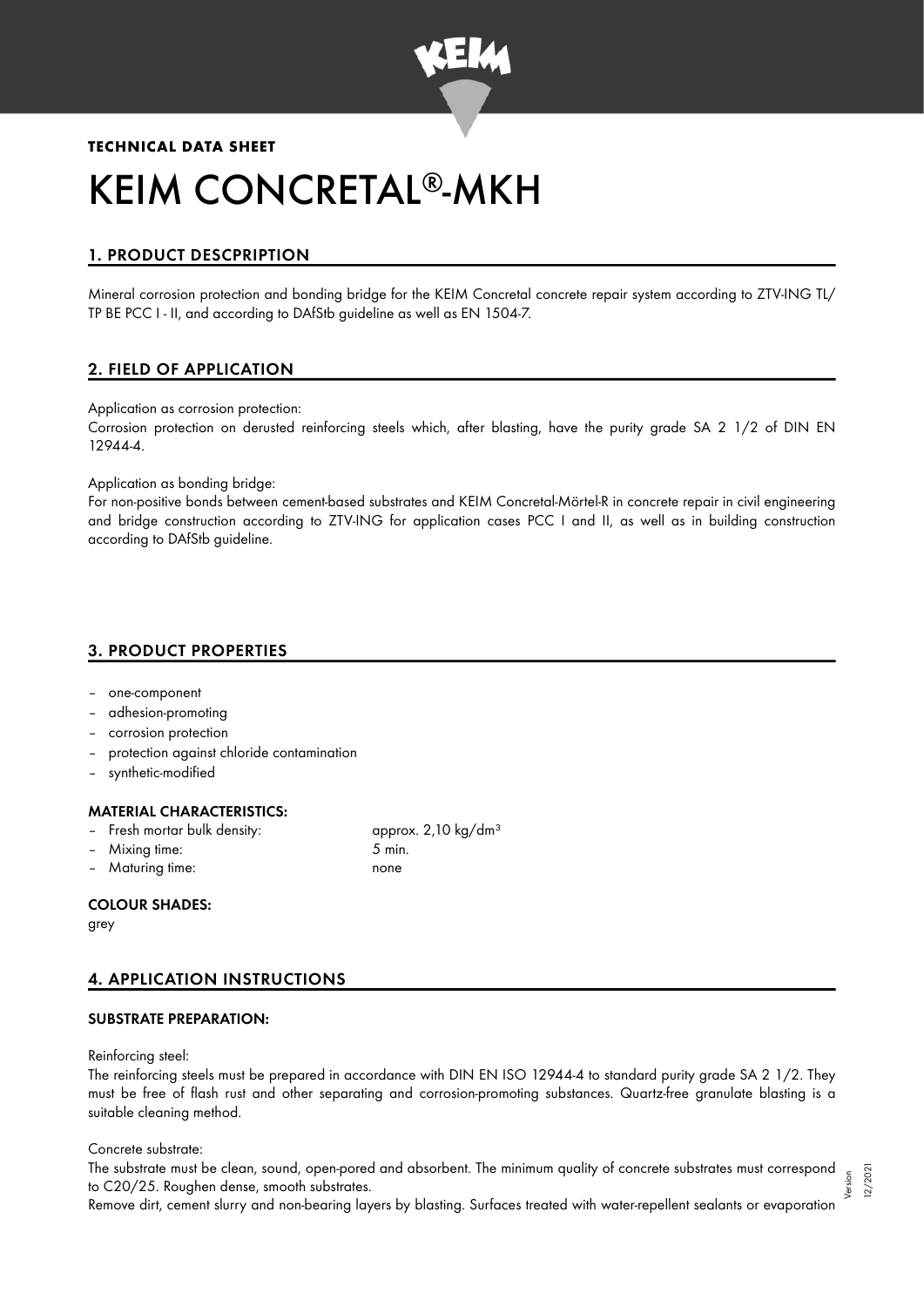

# **TECHNICAL DATA SHEET** KEIM CONCRETAL®-MKH

# 1. PRODUCT DESCPRIPTION

Mineral corrosion protection and bonding bridge for the KEIM Concretal concrete repair system according to ZTV-ING TL/ TP BE PCC I - II, and according to DAfStb guideline as well as EN 1504-7.

# 2. FIELD OF APPLICATION

Application as corrosion protection:

Corrosion protection on derusted reinforcing steels which, after blasting, have the purity grade SA 2 1/2 of DIN EN 12944-4.

Application as bonding bridge:

For non-positive bonds between cement-based substrates and KEIM Concretal-Mörtel-R in concrete repair in civil engineering and bridge construction according to ZTV-ING for application cases PCC I and II, as well as in building construction according to DAfStb guideline.

# 3. PRODUCT PROPERTIES

- one-component
- adhesion-promoting
- corrosion protection
- protection against chloride contamination
- synthetic-modified

# MATERIAL CHARACTERISTICS:

- Fresh mortar bulk density: approx. 2,10 kg/dm<sup>3</sup>
- Mixing time: 5 min.
- Maturing time: none

# COLOUR SHADES:

grey

# 4. APPLICATION INSTRUCTIONS

# SUBSTRATE PREPARATION:

Reinforcing steel:

The reinforcing steels must be prepared in accordance with DIN EN ISO 12944-4 to standard purity grade SA 2 1/2. They must be free of flash rust and other separating and corrosion-promoting substances. Quartz-free granulate blasting is a suitable cleaning method.

Concrete substrate:

The substrate must be clean, sound, open-pored and absorbent. The minimum quality of concrete substrates must correspond to C20/25. Roughen dense, smooth substrates. Version

Remove dirt, cement slurry and non-bearing layers by blasting. Surfaces treated with water-repellent sealants or evaporation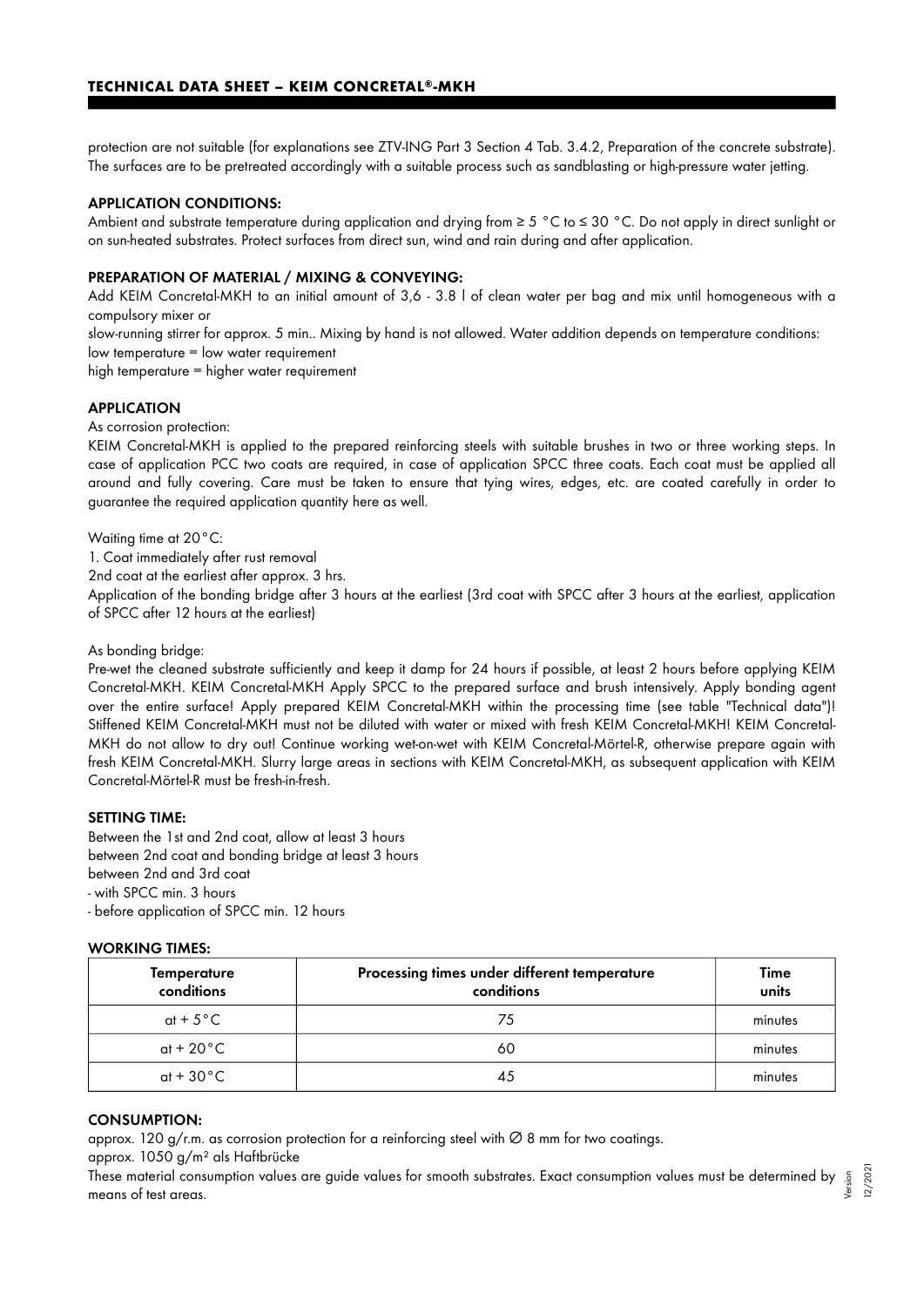protection are not suitable (for explanations see ZTV-ING Part 3 Section 4 Tab. 3.4.2, Preparation of the concrete substrate). The surfaces are to be pretreated accordingly with a suitable process such as sandblasting or high-pressure water jetting.

### APPLICATION CONDITIONS:

Ambient and substrate temperature during application and drying from ≥ 5 °C to ≤ 30 °C. Do not apply in direct sunlight or on sun-heated substrates. Protect surfaces from direct sun, wind and rain during and after application.

#### PREPARATION OF MATERIAL / MIXING & CONVEYING:

Add KEIM Concretal-MKH to an initial amount of 3,6 - 3.8 l of clean water per bag and mix until homogeneous with a compulsory mixer or

slow-running stirrer for approx. 5 min.. Mixing by hand is not allowed. Water addition depends on temperature conditions: low temperature = low water requirement

high temperature = higher water requirement

#### **APPLICATION**

As corrosion protection:

KEIM Concretal-MKH is applied to the prepared reinforcing steels with suitable brushes in two or three working steps. In case of application PCC two coats are required, in case of application SPCC three coats. Each coat must be applied all around and fully covering. Care must be taken to ensure that tying wires, edges, etc. are coated carefully in order to guarantee the required application quantity here as well.

Waiting time at 20°C:

1. Coat immediately after rust removal

2nd coat at the earliest after approx. 3 hrs.

Application of the bonding bridge after 3 hours at the earliest (3rd coat with SPCC after 3 hours at the earliest, application of SPCC after 12 hours at the earliest)

#### As bonding bridge:

Pre-wet the cleaned substrate sufficiently and keep it damp for 24 hours if possible, at least 2 hours before applying KEIM Concretal-MKH. KEIM Concretal-MKH Apply SPCC to the prepared surface and brush intensively. Apply bonding agent over the entire surface! Apply prepared KEIM Concretal-MKH within the processing time (see table "Technical data")! Stiffened KEIM Concretal-MKH must not be diluted with water or mixed with fresh KEIM Concretal-MKH! KEIM Concretal-MKH do not allow to dry out! Continue working wet-on-wet with KEIM Concretal-Mörtel-R, otherwise prepare again with fresh KEIM Concretal-MKH. Slurry large areas in sections with KEIM Concretal-MKH, as subsequent application with KEIM Concretal-Mörtel-R must be fresh-in-fresh.

#### SETTING TIME:

Between the 1st and 2nd coat, allow at least 3 hours between 2nd coat and bonding bridge at least 3 hours between 2nd and 3rd coat - with SPCC min. 3 hours

- before application of SPCC min. 12 hours

#### WORKING TIMES:

| <b>Temperature</b><br>conditions | Processing times under different temperature<br>conditions | Time<br>units |
|----------------------------------|------------------------------------------------------------|---------------|
| at + $5^{\circ}$ C               | 75                                                         | minutes       |
| at + 20 $^{\circ}$ C             | 60                                                         | minutes       |
| at + $30^{\circ}$ C              | 45                                                         | minutes       |

# CONSUMPTION:

approx. 120 g/r.m. as corrosion protection for a reinforcing steel with ∅ 8 mm for two coatings.

approx. 1050 g/m² als Haftbrücke

These material consumption values are guide values for smooth substrates. Exact consumption values must be determined by means of test areas. Version